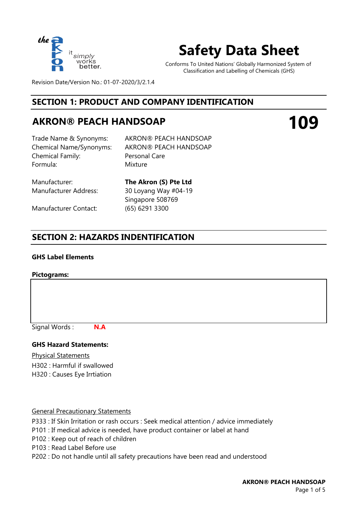

# **Safety Data Sheet**

Conforms To United Nations' Globally Harmonized System of Classification and Labelling of Chemicals (GHS)

**109**

Revision Date/Version No.: 01-07-2020/3/2.1.4

# **SECTION 1: PRODUCT AND COMPANY IDENTIFICATION**

# **AKRON® PEACH HANDSOAP**

Chemical Family: Formula: Mixture

Trade Name & Synonyms: AKRON® PEACH HANDSOAP Chemical Name/Synonyms: AKRON® PEACH HANDSOAP Personal Care

Manufacturer Contact: (65) 6291 3300

Manufacturer: **The Akron (S) Pte Ltd** Manufacturer Address: 30 Loyang Way #04-19 Singapore 508769

# **SECTION 2: HAZARDS INDENTIFICATION**

**N.A**

## **GHS Label Elements**

## **Pictograms:**

Signal Words :

## **GHS Hazard Statements:**

Physical Statements

H302 : Harmful if swallowed H320 : Causes Eye Irrtiation

## General Precautionary Statements

- P333 : If Skin Irritation or rash occurs : Seek medical attention / advice immediately
- P101 : If medical advice is needed, have product container or label at hand
- P102 : Keep out of reach of children
- P103 : Read Label Before use
- P202 : Do not handle until all safety precautions have been read and understood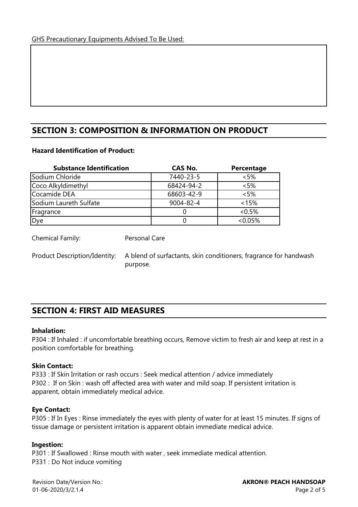# **SECTION 3: COMPOSITION & INFORMATION ON PRODUCT**

## **Hazard Identification of Product:**

| <b>Substance Identification</b> | <b>CAS No.</b>  | Percentage |
|---------------------------------|-----------------|------------|
| Sodium Chloride                 | 7440-23-5       | < 5%       |
| Coco Alkyldimethyl              | 68424-94-2      | < 5%       |
| Cocamide DEA                    | 68603-42-9      | < 5%       |
| Sodium Laureth Sulfate          | $9004 - 82 - 4$ | $< 15\%$   |
| Fragrance                       |                 | $<0.5\%$   |
| Dye                             |                 | $<0.05\%$  |

Personal Care

Chemical Family:

Product Description/Identity:

A blend of surfactants, skin conditioners, fragrance for handwash purpose.

# **SECTION 4: FIRST AID MEASURES**

## **Inhalation:**

P304 : If Inhaled : if uncomfortable breathing occurs, Remove victim to fresh air and keep at rest in a position comfortable for breathing.

## **Skin Contact:**

P333 : If Skin Irritation or rash occurs : Seek medical attention / advice immediately P302 : If on Skin : wash off affected area with water and mild soap. If persistent irritation is apparent, obtain immediately medical advice.

## **Eye Contact:**

P305 : If In Eyes : Rinse immediately the eyes with plenty of water for at least 15 minutes. If signs of tissue damage or persistent irritation is apparent obtain immediate medical advice.

## **Ingestion:**

P301 : If Swallowed : Rinse mouth with water , seek immediate medical attention. P331 : Do Not induce vomiting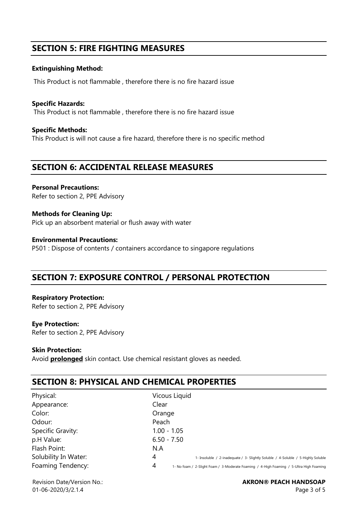# **SECTION 5: FIRE FIGHTING MEASURES**

## **Extinguishing Method:**

This Product is not flammable , therefore there is no fire hazard issue

**Specific Hazards:**  This Product is not flammable , therefore there is no fire hazard issue

**Specific Methods:** This Product is will not cause a fire hazard, therefore there is no specific method

## **SECTION 6: ACCIDENTAL RELEASE MEASURES**

**Personal Precautions:**  Refer to section 2, PPE Advisory

**Methods for Cleaning Up:** Pick up an absorbent material or flush away with water

**Environmental Precautions:** P501 : Dispose of contents / containers accordance to singapore regulations

# **SECTION 7: EXPOSURE CONTROL / PERSONAL PROTECTION**

**Respiratory Protection:**  Refer to section 2, PPE Advisory

**Eye Protection:** Refer to section 2, PPE Advisory

## **Skin Protection:**

Avoid **prolonged** skin contact. Use chemical resistant gloves as needed.

# **SECTION 8: PHYSICAL AND CHEMICAL PROPERTIES**

| Physical:            | Vicous Liquid                                                                                |
|----------------------|----------------------------------------------------------------------------------------------|
| Appearance:          | Clear                                                                                        |
| Color:               | Orange                                                                                       |
| Odour:               | Peach                                                                                        |
| Specific Gravity:    | $1.00 - 1.05$                                                                                |
| p.H Value:           | $6.50 - 7.50$                                                                                |
| Flash Point:         | N.A                                                                                          |
| Solubility In Water: | 4<br>1- Insoluble / 2-inadequate / 3- Slightly Soluble / 4-Soluble / 5-Highly Soluble        |
| Foaming Tendency:    | 4<br>1- No foam / 2-Slight Foam / 3-Moderate Foaming / 4-High Foaming / 5-Ultra High Foaming |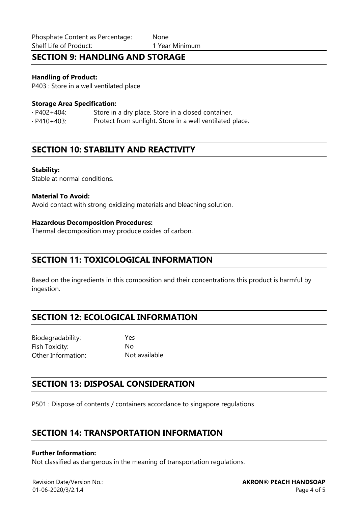# **SECTION 9: HANDLING AND STORAGE**

## **Handling of Product:**

P403 : Store in a well ventilated place

## **Storage Area Specification:**

· P402+404: Store in a dry place. Store in a closed container. · P410+403: Protect from sunlight. Store in a well ventilated place.

## **SECTION 10: STABILITY AND REACTIVITY**

#### **Stability:**

Stable at normal conditions.

#### **Material To Avoid:**

Avoid contact with strong oxidizing materials and bleaching solution.

#### **Hazardous Decomposition Procedures:**

Thermal decomposition may produce oxides of carbon.

## **SECTION 11: TOXICOLOGICAL INFORMATION**

Based on the ingredients in this composition and their concentrations this product is harmful by ingestion.

# **SECTION 12: ECOLOGICAL INFORMATION**

Biodegradability: Yes Fish Toxicity: No Other Information: Not available

# **SECTION 13: DISPOSAL CONSIDERATION**

P501 : Dispose of contents / containers accordance to singapore regulations

# **SECTION 14: TRANSPORTATION INFORMATION**

#### **Further Information:**

Not classified as dangerous in the meaning of transportation regulations.